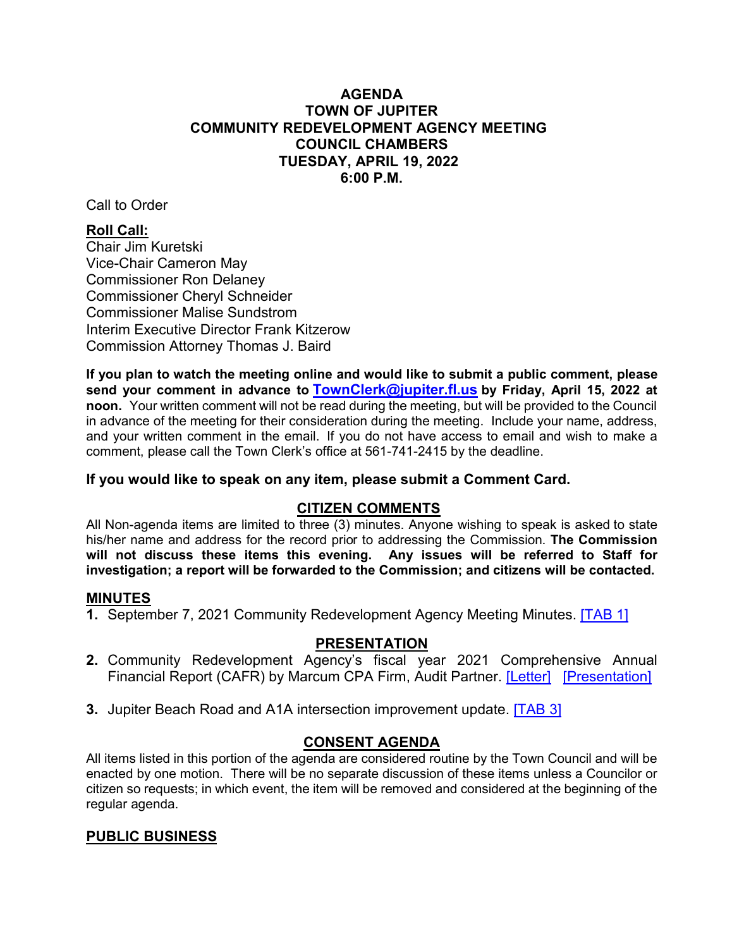# **AGENDA TOWN OF JUPITER COUNCIL CHAMBERS 6:00 P.M. COMMUNITY REDEVELOPMENT AGENCY MEETING TUESDAY, APRIL 19, 2022**

Call to Order

# **Roll Call:**

Chair Jim Kuretski Vice-Chair Cameron May Commissioner Ron Delaney Commissioner Cheryl Schneider Commissioner Malise Sundstrom Interim Executive Director Frank Kitzerow Commission Attorney Thomas J. Baird

**If you plan to watch the meeting online and would like to submit a public comment, please send your comment in advance to [TownClerk@jupiter.fl.us](mailto:TownClerk@jupiter.fl.us) by Friday, April 15, 2022 at noon.** Your written comment will not be read during the meeting, but will be provided to the Council in advance of the meeting for their consideration during the meeting. Include your name, address, and your written comment in the email. If you do not have access to email and wish to make a comment, please call the Town Clerk's office at 561-741-2415 by the deadline.

# **If you would like to speak on any item, please submit a Comment Card.**

# **CITIZEN COMMENTS**

All Non-agenda items are limited to three  $(3)$  minutes. Anyone wishing to speak is asked to state his/her name and address for the record prior to addressing the Commission. **The Commission will not discuss these items this evening. Any issues will be referred to Staff for investigation; a report will be forwarded to the Commission; and citizens will be contacted.**

# **MINUTES**

**1.** September 7, 2021 Community Redevelopment Agency Meeting Minutes. [\[TAB 1\]](http://www.jupiter.fl.us/documentcenter/view/29875)

# **PRESENTATION**

- **2.** Community Redevelopment Agency's fiscal year 2021 Comprehensive Annual Financial Report (CAFR) by Marcum CPA Firm, Audit Partner. [\[Letter\]](http://www.jupiter.fl.us/documentcenter/view/29876) [\[Presentation\]](http://www.jupiter.fl.us/documentcenter/view/29877)
- **3.** Jupiter Beach Road and A1A intersection improvement update. [\[TAB 3\]](http://www.jupiter.fl.us/documentcenter/view/29878)

# **CONSENT AGENDA**

All items listed in this portion of the agenda are considered routine by the Town Council and will be enacted by one motion. There will be no separate discussion of these items unless a Councilor or citizen so requests; in which event, the item will be removed and considered at the beginning of the regular agenda.

# **PUBLIC BUSINESS**